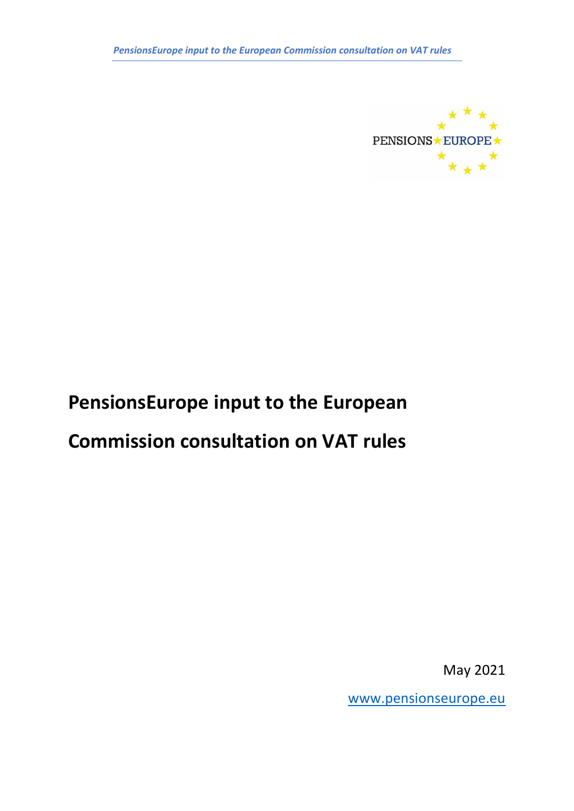

# **PensionsEurope input to the European**

## **Commission consultation on VAT rules**

May 2021

[www.pensionseurope.eu](http://www.pensionseurope.eu/)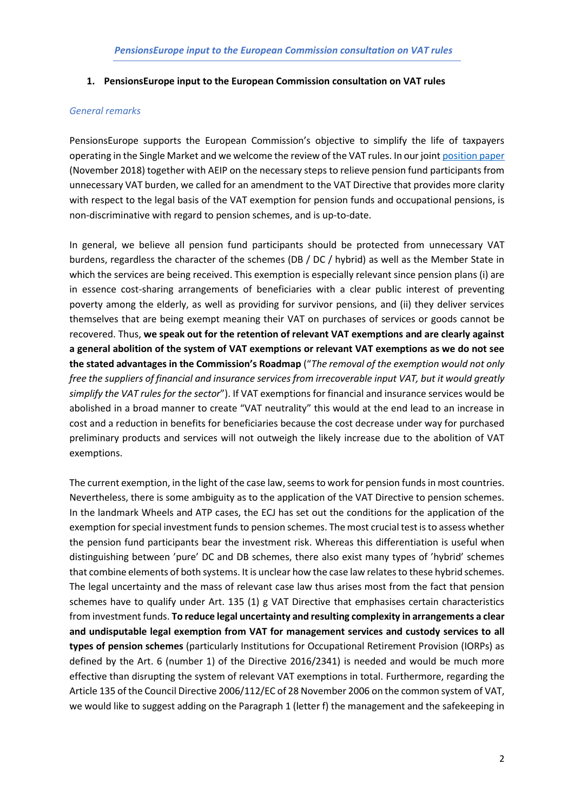#### **1. PensionsEurope input to the European Commission consultation on VAT rules**

#### *General remarks*

PensionsEurope supports the European Commission's objective to simplify the life of taxpayers operating in the Single Market and we welcome the review of the VAT rules. In our joint [position paper](https://www.pensionseurope.eu/system/files/Position%20paper%20VAT%20Directive%20Final.pdf) (November 2018) together with AEIP on the necessary steps to relieve pension fund participants from unnecessary VAT burden, we called for an amendment to the VAT Directive that provides more clarity with respect to the legal basis of the VAT exemption for pension funds and occupational pensions, is non-discriminative with regard to pension schemes, and is up-to-date.

In general, we believe all pension fund participants should be protected from unnecessary VAT burdens, regardless the character of the schemes (DB / DC / hybrid) as well as the Member State in which the services are being received. This exemption is especially relevant since pension plans (i) are in essence cost-sharing arrangements of beneficiaries with a clear public interest of preventing poverty among the elderly, as well as providing for survivor pensions, and (ii) they deliver services themselves that are being exempt meaning their VAT on purchases of services or goods cannot be recovered. Thus, **we speak out for the retention of relevant VAT exemptions and are clearly against a general abolition of the system of VAT exemptions or relevant VAT exemptions as we do not see the stated advantages in the Commission's Roadmap** ("*The removal of the exemption would not only free the suppliers of financial and insurance services from irrecoverable input VAT, but it would greatly simplify the VAT rules for the sector*"). If VAT exemptions for financial and insurance services would be abolished in a broad manner to create "VAT neutrality" this would at the end lead to an increase in cost and a reduction in benefits for beneficiaries because the cost decrease under way for purchased preliminary products and services will not outweigh the likely increase due to the abolition of VAT exemptions.

The current exemption, in the light of the case law, seems to work for pension funds in most countries. Nevertheless, there is some ambiguity as to the application of the VAT Directive to pension schemes. In the landmark Wheels and ATP cases, the ECJ has set out the conditions for the application of the exemption for special investment funds to pension schemes. The most crucial test is to assess whether the pension fund participants bear the investment risk. Whereas this differentiation is useful when distinguishing between 'pure' DC and DB schemes, there also exist many types of 'hybrid' schemes that combine elements of both systems. It is unclear how the case law relates to these hybrid schemes. The legal uncertainty and the mass of relevant case law thus arises most from the fact that pension schemes have to qualify under Art. 135 (1) g VAT Directive that emphasises certain characteristics from investment funds. **To reduce legal uncertainty and resulting complexity in arrangements a clear and undisputable legal exemption from VAT for management services and custody services to all types of pension schemes** (particularly Institutions for Occupational Retirement Provision (IORPs) as defined by the Art. 6 (number 1) of the Directive 2016/2341) is needed and would be much more effective than disrupting the system of relevant VAT exemptions in total. Furthermore, regarding the Article 135 of the Council Directive 2006/112/EC of 28 November 2006 on the common system of VAT, we would like to suggest adding on the Paragraph 1 (letter f) the management and the safekeeping in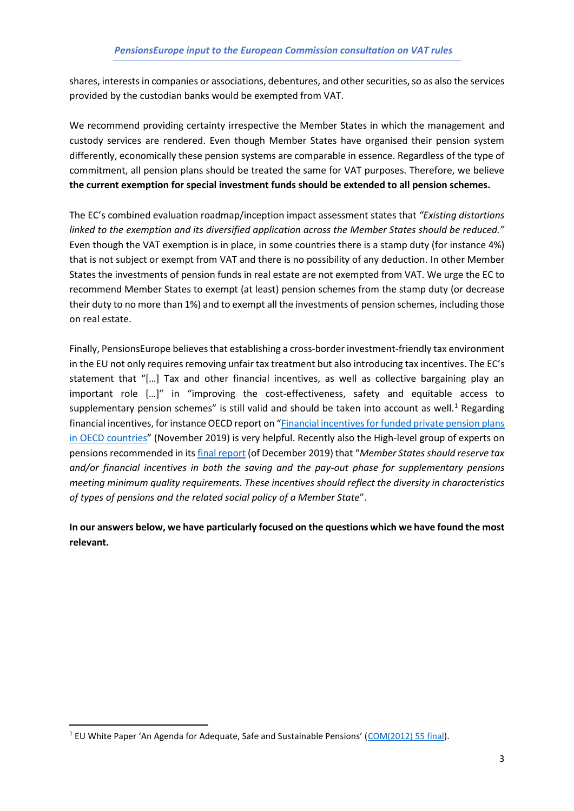shares, interests in companies or associations, debentures, and other securities, so as also the services provided by the custodian banks would be exempted from VAT.

We recommend providing certainty irrespective the Member States in which the management and custody services are rendered. Even though Member States have organised their pension system differently, economically these pension systems are comparable in essence. Regardless of the type of commitment, all pension plans should be treated the same for VAT purposes. Therefore, we believe **the current exemption for special investment funds should be extended to all pension schemes.** 

The EC's combined evaluation roadmap/inception impact assessment states that *"Existing distortions linked to the exemption and its diversified application across the Member States should be reduced."* Even though the VAT exemption is in place, in some countries there is a stamp duty (for instance 4%) that is not subject or exempt from VAT and there is no possibility of any deduction. In other Member States the investments of pension funds in real estate are not exempted from VAT. We urge the EC to recommend Member States to exempt (at least) pension schemes from the stamp duty (or decrease their duty to no more than 1%) and to exempt all the investments of pension schemes, including those on real estate.

Finally, PensionsEurope believes that establishing a cross-border investment-friendly tax environment in the EU not only requires removing unfair tax treatment but also introducing tax incentives. The EC's statement that "[…] Tax and other financial incentives, as well as collective bargaining play an important role […]" in "improving the cost-effectiveness, safety and equitable access to supplementary pension schemes" is still valid and should be taken into account as well.<sup>1</sup> Regarding financial incentives, for instance OECD report on "[Financial incentives for funded private pension plans](https://www.oecd.org/finance/private-pensions/Financial-Incentives-for-Funded-Pension-Plans-in-OECD-Countries-2019.pdf)  [in OECD countries](https://www.oecd.org/finance/private-pensions/Financial-Incentives-for-Funded-Pension-Plans-in-OECD-Countries-2019.pdf)" (November 2019) is very helpful. Recently also the High-level group of experts on pensions recommended in its [final report](https://ec.europa.eu/transparency/regexpert/index.cfm?do=groupDetail.groupMeetingDoc&docid=38547) (of December 2019) that "*Member States should reserve tax and/or financial incentives in both the saving and the pay-out phase for supplementary pensions meeting minimum quality requirements. These incentives should reflect the diversity in characteristics of types of pensions and the related social policy of a Member State*".

**In our answers below, we have particularly focused on the questions which we have found the most relevant.**

<sup>&</sup>lt;sup>1</sup> EU White Paper 'An Agenda for Adequate, Safe and Sustainable Pensions' ([COM\(2012\) 55 final\)](file:///C:/Users/Pekka.eskola/Desktop/VAT/eur-lex.europa.eu/LexUriServ/LexUriServ.do%3furi=COM:2012:0055:FIN:EN:PDF).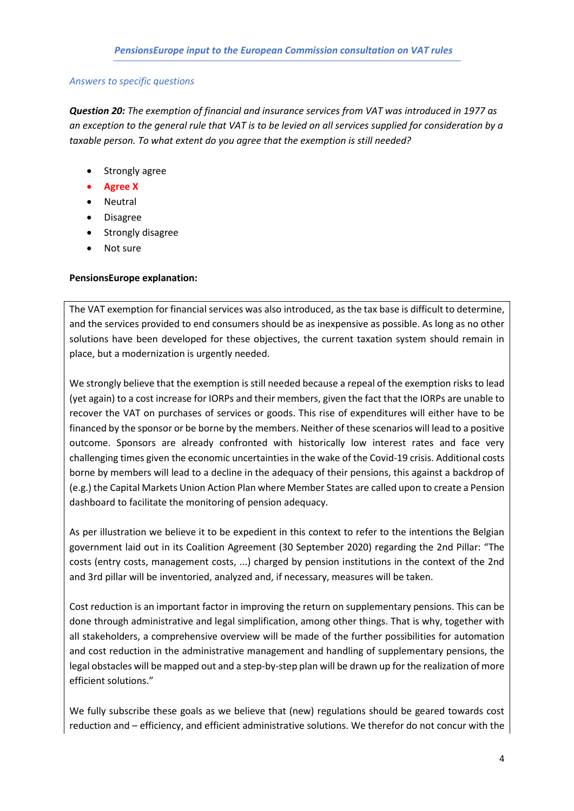#### *Answers to specific questions*

*Question 20: The exemption of financial and insurance services from VAT was introduced in 1977 as an exception to the general rule that VAT is to be levied on all services supplied for consideration by a taxable person. To what extent do you agree that the exemption is still needed?*

- Strongly agree
- **Agree X**
- Neutral
- Disagree
- Strongly disagree
- Not sure

#### **PensionsEurope explanation:**

The VAT exemption for financial services was also introduced, as the tax base is difficult to determine, and the services provided to end consumers should be as inexpensive as possible. As long as no other solutions have been developed for these objectives, the current taxation system should remain in place, but a modernization is urgently needed.

We strongly believe that the exemption is still needed because a repeal of the exemption risks to lead (yet again) to a cost increase for IORPs and their members, given the fact that the IORPs are unable to recover the VAT on purchases of services or goods. This rise of expenditures will either have to be financed by the sponsor or be borne by the members. Neither of these scenarios will lead to a positive outcome. Sponsors are already confronted with historically low interest rates and face very challenging times given the economic uncertainties in the wake of the Covid-19 crisis. Additional costs borne by members will lead to a decline in the adequacy of their pensions, this against a backdrop of (e.g.) the Capital Markets Union Action Plan where Member States are called upon to create a Pension dashboard to facilitate the monitoring of pension adequacy.

As per illustration we believe it to be expedient in this context to refer to the intentions the Belgian government laid out in its Coalition Agreement (30 September 2020) regarding the 2nd Pillar: "The costs (entry costs, management costs, ...) charged by pension institutions in the context of the 2nd and 3rd pillar will be inventoried, analyzed and, if necessary, measures will be taken.

Cost reduction is an important factor in improving the return on supplementary pensions. This can be done through administrative and legal simplification, among other things. That is why, together with all stakeholders, a comprehensive overview will be made of the further possibilities for automation and cost reduction in the administrative management and handling of supplementary pensions, the legal obstacles will be mapped out and a step-by-step plan will be drawn up for the realization of more efficient solutions."

We fully subscribe these goals as we believe that (new) regulations should be geared towards cost reduction and – efficiency, and efficient administrative solutions. We therefor do not concur with the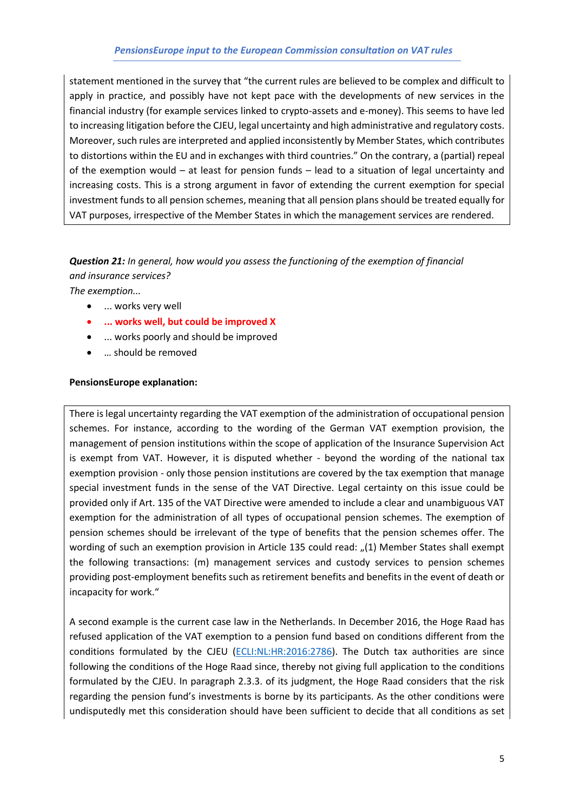#### *PensionsEurope input to the European Commission consultation on VAT rules*

statement mentioned in the survey that "the current rules are believed to be complex and difficult to apply in practice, and possibly have not kept pace with the developments of new services in the financial industry (for example services linked to crypto-assets and e-money). This seems to have led to increasing litigation before the CJEU, legal uncertainty and high administrative and regulatory costs. Moreover, such rules are interpreted and applied inconsistently by Member States, which contributes to distortions within the EU and in exchanges with third countries." On the contrary, a (partial) repeal of the exemption would – at least for pension funds – lead to a situation of legal uncertainty and increasing costs. This is a strong argument in favor of extending the current exemption for special investment funds to all pension schemes, meaning that all pension plans should be treated equally for VAT purposes, irrespective of the Member States in which the management services are rendered.

### *Question 21: In general, how would you assess the functioning of the exemption of financial*

*and insurance services?*

*The exemption...*

- ... works very well
- **... works well, but could be improved X**
- ... works poorly and should be improved
- … should be removed

#### **PensionsEurope explanation:**

There is legal uncertainty regarding the VAT exemption of the administration of occupational pension schemes. For instance, according to the wording of the German VAT exemption provision, the management of pension institutions within the scope of application of the Insurance Supervision Act is exempt from VAT. However, it is disputed whether - beyond the wording of the national tax exemption provision - only those pension institutions are covered by the tax exemption that manage special investment funds in the sense of the VAT Directive. Legal certainty on this issue could be provided only if Art. 135 of the VAT Directive were amended to include a clear and unambiguous VAT exemption for the administration of all types of occupational pension schemes. The exemption of pension schemes should be irrelevant of the type of benefits that the pension schemes offer. The wording of such an exemption provision in Article 135 could read: "(1) Member States shall exempt the following transactions: (m) management services and custody services to pension schemes providing post-employment benefits such as retirement benefits and benefits in the event of death or incapacity for work."

A second example is the current case law in the Netherlands. In December 2016, the Hoge Raad has refused application of the VAT exemption to a pension fund based on conditions different from the conditions formulated by the CJEU [\(ECLI:NL:HR:2016:2786\)](http://deeplink.rechtspraak.nl/uitspraak?id=ECLI:NL:HR:2016:2786). The Dutch tax authorities are since following the conditions of the Hoge Raad since, thereby not giving full application to the conditions formulated by the CJEU. In paragraph 2.3.3. of its judgment, the Hoge Raad considers that the risk regarding the pension fund's investments is borne by its participants. As the other conditions were undisputedly met this consideration should have been sufficient to decide that all conditions as set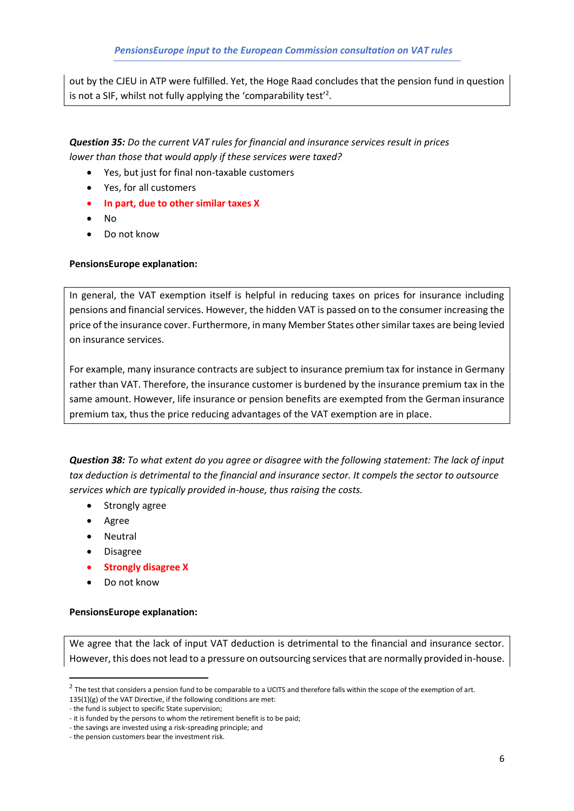out by the CJEU in ATP were fulfilled. Yet, the Hoge Raad concludes that the pension fund in question is not a SIF, whilst not fully applying the 'comparability test'<sup>2</sup>.

*Question 35: Do the current VAT rules for financial and insurance services result in prices lower than those that would apply if these services were taxed?*

- Yes, but just for final non-taxable customers
- Yes, for all customers
- **In part, due to other similar taxes X**
- No
- Do not know

#### **PensionsEurope explanation:**

In general, the VAT exemption itself is helpful in reducing taxes on prices for insurance including pensions and financial services. However, the hidden VAT is passed on to the consumer increasing the price of the insurance cover. Furthermore, in many Member States other similar taxes are being levied on insurance services.

For example, many insurance contracts are subject to insurance premium tax for instance in Germany rather than VAT. Therefore, the insurance customer is burdened by the insurance premium tax in the same amount. However, life insurance or pension benefits are exempted from the German insurance premium tax, thus the price reducing advantages of the VAT exemption are in place.

*Question 38: To what extent do you agree or disagree with the following statement: The lack of input tax deduction is detrimental to the financial and insurance sector. It compels the sector to outsource services which are typically provided in-house, thus raising the costs.*

- Strongly agree
- Agree
- Neutral
- Disagree
- **Strongly disagree X**
- Do not know

#### **PensionsEurope explanation:**

We agree that the lack of input VAT deduction is detrimental to the financial and insurance sector. However, this does not lead to a pressure on outsourcing services that are normally provided in-house.

 $^2$  The test that considers a pension fund to be comparable to a UCITS and therefore falls within the scope of the exemption of art. 135(1)(g) of the VAT Directive, if the following conditions are met:

<sup>-</sup> the fund is subject to specific State supervision;

<sup>-</sup> it is funded by the persons to whom the retirement benefit is to be paid;

<sup>-</sup> the savings are invested using a risk-spreading principle; and

<sup>-</sup> the pension customers bear the investment risk.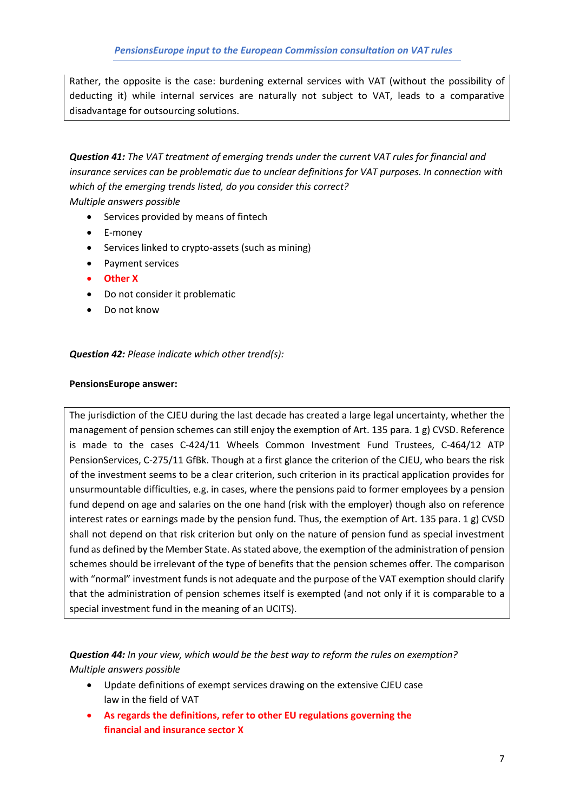Rather, the opposite is the case: burdening external services with VAT (without the possibility of deducting it) while internal services are naturally not subject to VAT, leads to a comparative disadvantage for outsourcing solutions.

*Question 41: The VAT treatment of emerging trends under the current VAT rules for financial and insurance services can be problematic due to unclear definitions for VAT purposes. In connection with which of the emerging trends listed, do you consider this correct?*

*Multiple answers possible*

- Services provided by means of fintech
- E-money
- Services linked to crypto-assets (such as mining)
- Payment services
- **Other X**
- Do not consider it problematic
- Do not know

*Question 42: Please indicate which other trend(s):*

#### **PensionsEurope answer:**

The jurisdiction of the CJEU during the last decade has created a large legal uncertainty, whether the management of pension schemes can still enjoy the exemption of Art. 135 para. 1 g) CVSD. Reference is made to the cases C-424/11 Wheels Common Investment Fund Trustees, C-464/12 ATP PensionServices, C-275/11 GfBk. Though at a first glance the criterion of the CJEU, who bears the risk of the investment seems to be a clear criterion, such criterion in its practical application provides for unsurmountable difficulties, e.g. in cases, where the pensions paid to former employees by a pension fund depend on age and salaries on the one hand (risk with the employer) though also on reference interest rates or earnings made by the pension fund. Thus, the exemption of Art. 135 para. 1 g) CVSD shall not depend on that risk criterion but only on the nature of pension fund as special investment fund as defined by the Member State. As stated above, the exemption of the administration of pension schemes should be irrelevant of the type of benefits that the pension schemes offer. The comparison with "normal" investment funds is not adequate and the purpose of the VAT exemption should clarify that the administration of pension schemes itself is exempted (and not only if it is comparable to a special investment fund in the meaning of an UCITS).

*Question 44: In your view, which would be the best way to reform the rules on exemption? Multiple answers possible*

- Update definitions of exempt services drawing on the extensive CJEU case law in the field of VAT
- **As regards the definitions, refer to other EU regulations governing the financial and insurance sector X**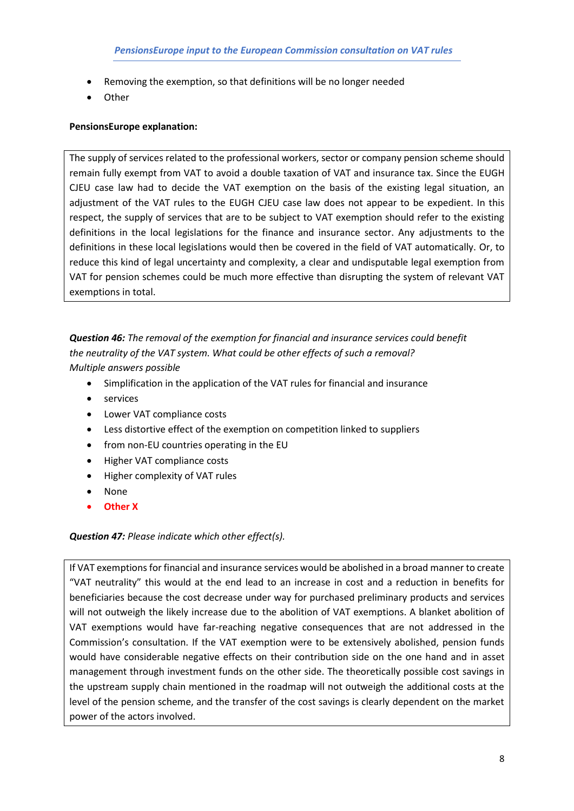- Removing the exemption, so that definitions will be no longer needed
- Other

#### **PensionsEurope explanation:**

The supply of services related to the professional workers, sector or company pension scheme should remain fully exempt from VAT to avoid a double taxation of VAT and insurance tax. Since the EUGH CJEU case law had to decide the VAT exemption on the basis of the existing legal situation, an adjustment of the VAT rules to the EUGH CJEU case law does not appear to be expedient. In this respect, the supply of services that are to be subject to VAT exemption should refer to the existing definitions in the local legislations for the finance and insurance sector. Any adjustments to the definitions in these local legislations would then be covered in the field of VAT automatically. Or, to reduce this kind of legal uncertainty and complexity, a clear and undisputable legal exemption from VAT for pension schemes could be much more effective than disrupting the system of relevant VAT exemptions in total.

### *Question 46: The removal of the exemption for financial and insurance services could benefit the neutrality of the VAT system. What could be other effects of such a removal? Multiple answers possible*

- Simplification in the application of the VAT rules for financial and insurance
- services
- Lower VAT compliance costs
- Less distortive effect of the exemption on competition linked to suppliers
- from non-EU countries operating in the EU
- Higher VAT compliance costs
- Higher complexity of VAT rules
- None
- **Other X**

#### *Question 47: Please indicate which other effect(s).*

If VAT exemptions for financial and insurance services would be abolished in a broad manner to create "VAT neutrality" this would at the end lead to an increase in cost and a reduction in benefits for beneficiaries because the cost decrease under way for purchased preliminary products and services will not outweigh the likely increase due to the abolition of VAT exemptions. A blanket abolition of VAT exemptions would have far-reaching negative consequences that are not addressed in the Commission's consultation. If the VAT exemption were to be extensively abolished, pension funds would have considerable negative effects on their contribution side on the one hand and in asset management through investment funds on the other side. The theoretically possible cost savings in the upstream supply chain mentioned in the roadmap will not outweigh the additional costs at the level of the pension scheme, and the transfer of the cost savings is clearly dependent on the market power of the actors involved.